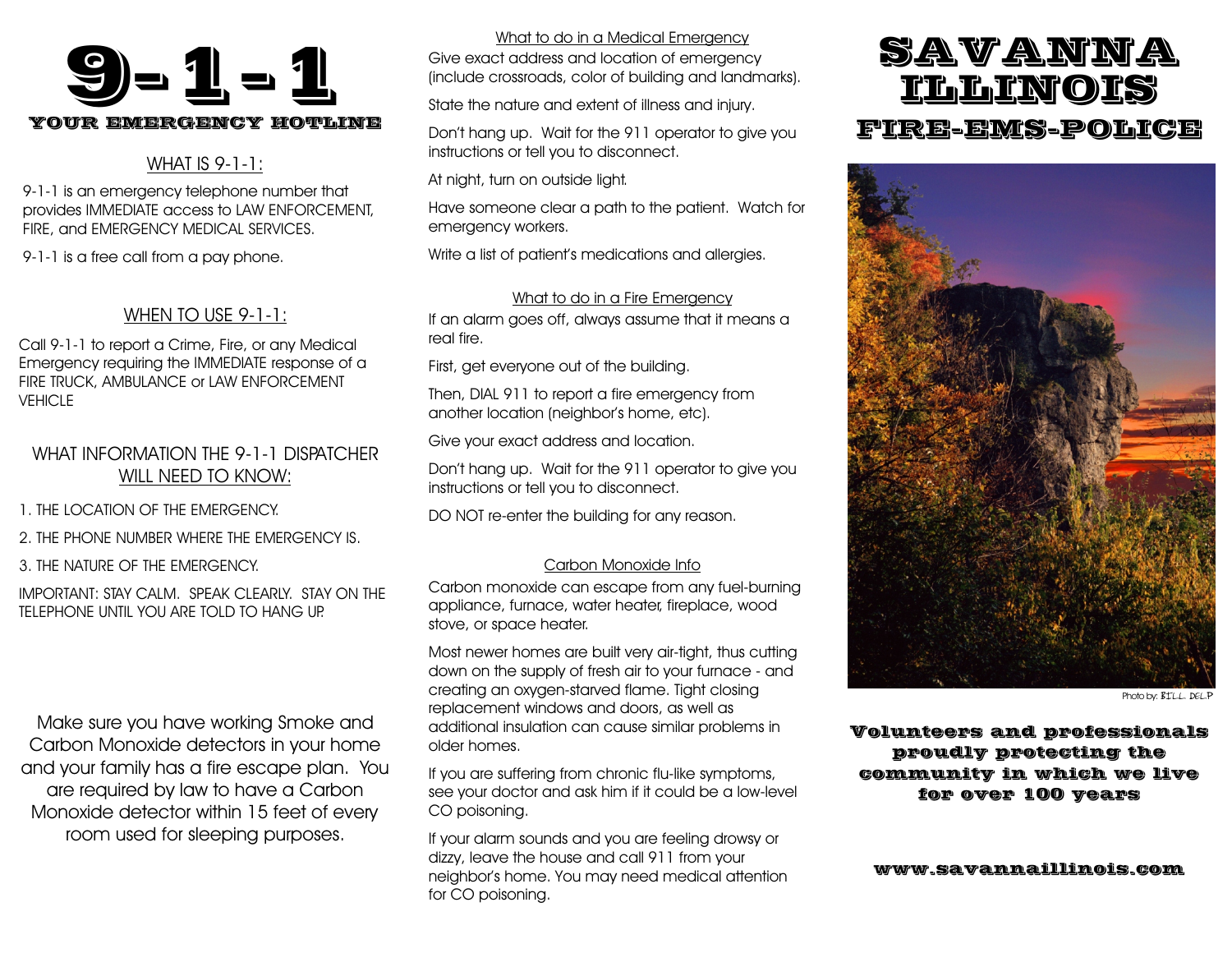# $\mathbf{G}$  - 1 - 1

### WHAT IS 9-1-1:

9-1-1 is an emergency telephone number that provides IMMEDIATE access to LAW ENFORCEMENT, FIRE, and EMERGENCY MEDICAL SERVICES.

9-1-1 is a free call from a pay phone.

## WHEN TO USE 9-1-1:

Call 9-1-1 to report a Crime, Fire, or any Medical Emergency requiring the IMMEDIATE response of a FIRE TRUCK, AMBULANCE or LAW ENFORCEMENT **VEHICLE** 

### WHAT INFORMATION THE 9-1-1 DISPATCHER WILL NEED TO KNOW:

1. THE LOCATION OF THE EMERGENCY.

2. THE PHONE NUMBER WHERE THE EMERGENCY IS.

3. THE NATURE OF THE EMERGENCY.

IMPORTANT: STAY CALM. SPEAK CLEARLY. STAY ON THE TELEPHONE UNTIL YOU ARE TOLD TO HANG UP.

Make sure you have working Smoke and Carbon Monoxide detectors in your home and your family has a fire escape plan. You are required by law to have a Carbon Monoxide detector within 15 feet of every room used for sleeping purposes.

What to do in a Medical Emergency

Give exact address and location of emergency (include crossroads, color of building and landmarks).

State the nature and extent of illness and injury.

Don't hang up. Wait for the 911 operator to give you instructions or tell you to disconnect.

At night, turn on outside light.

Have someone clear a path to the patient. Watch for emergency workers.

Write a list of patient's medications and allergies.

### What to do in a Fire Emergency

If an alarm goes off, always assume that it means a real fire.

First, get everyone out of the building.

Then, DIAL 911 to report a fire emergency from another location (neighbor's home, etc).

Give your exact address and location.

Don't hang up. Wait for the 911 operator to give you instructions or tell you to disconnect.

DO NOT re-enter the building for any reason.

### Carbon Monoxide Info

Carbon monoxide can escape from any fuel-burning appliance, furnace, water heater, fireplace, wood stove, or space heater.

Most newer homes are built very air-tight, thus cutting down on the supply of fresh air to your furnace - and creating an oxygen-starved flame. Tight closing replacement windows and doors, as well as additional insulation can cause similar problems in older homes.

If you are suffering from chronic flu-like symptoms, see your doctor and ask him if it could be a low-level CO poisoning.

If your alarm sounds and you are feeling drowsy or dizzy, leave the house and call 911 from your neighbor's home. You may need medical attention for CO poisoning.

# SAVANNA ILLINOIS YOUR EMERGENCY HOTLINE  $_{\rm Dori\,hom}$  wait for the 911 operator to give volu  $_{\rm FTRE-EMSS-POLICE}$



Photo by: **BILL** DELP

Volunteers and professionals proudly protecting the community in which we live for over 100 years

www.savannaillinois.com